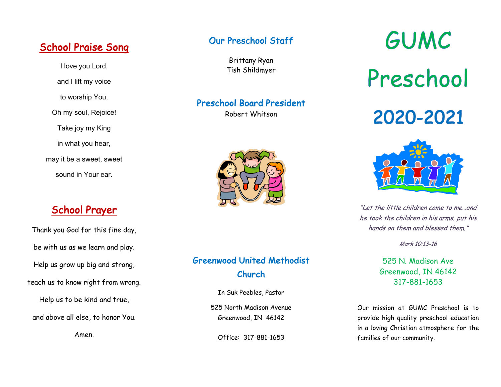# School Praise Song

I love you Lord, and I lift my voice to worship You. Oh my soul, Rejoice! Take joy my King in what you hear, may it be a sweet, sweet sound in Your ear.

# School Prayer

Thank you God for this fine day, be with us as we learn and play. Help us grow up big and strong, teach us to know right from wrong.

Help us to be kind and true,

and above all else, to honor You.

Amen.

#### Our Preschool Staff

Brittany Ryan Tish Shildmyer

#### Preschool Board President

Robert Whitson



# Greenwood United Methodist Church

In Suk Peebles, Pastor

525 North Madison Avenue Greenwood, IN 46142

Office: 317-881-1653

GUMC Preschool

# 2020-2021



"Let the little children come to me…and he took the children in his arms, put his hands on them and blessed them."

Mark 10:13-16

#### 525 N. Madison Ave Greenwood, IN 46142 317-881-1653

Our mission at GUMC Preschool is to provide high quality preschool education in a loving Christian atmosphere for the families of our community.